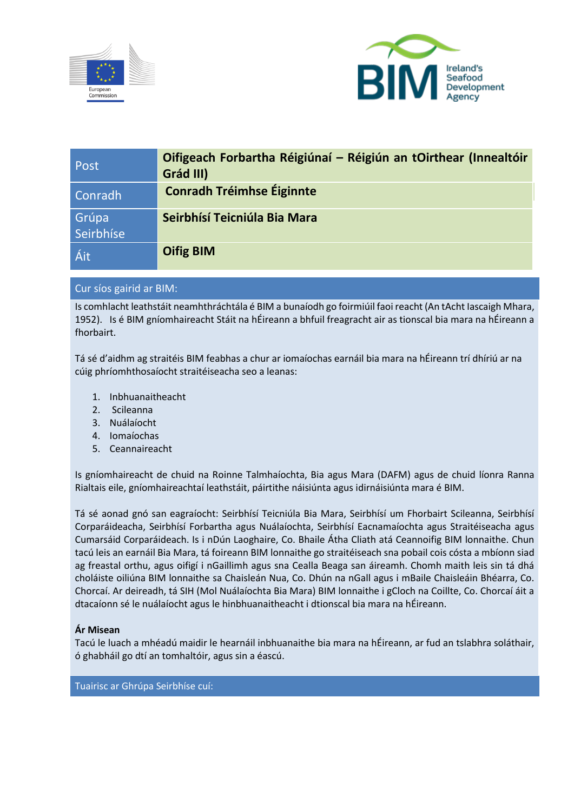



| Post               | Oifigeach Forbartha Réigiúnaí - Réigiún an tOirthear (Innealtóir<br>Grád III) |
|--------------------|-------------------------------------------------------------------------------|
| Conradh            | <b>Conradh Tréimhse Éiginnte</b>                                              |
| Grúpa<br>Seirbhíse | Seirbhísí Teicniúla Bia Mara                                                  |
| Áit                | <b>Oifig BIM</b>                                                              |

# Cur síos gairid ar BIM:

Is comhlacht leathstáit neamhthráchtála é BIM a bunaíodh go foirmiúil faoi reacht (An tAcht Iascaigh Mhara, 1952). Is é BIM gníomhaireacht Stáit na hÉireann a bhfuil freagracht air as tionscal bia mara na hÉireann a fhorbairt.

Tá sé d'aidhm ag straitéis BIM feabhas a chur ar iomaíochas earnáil bia mara na hÉireann trí dhíriú ar na cúig phríomhthosaíocht straitéiseacha seo a leanas:

- 1. Inbhuanaitheacht
- 2. Scileanna
- 3. Nuálaíocht
- 4. Iomaíochas
- 5. Ceannaireacht

Is gníomhaireacht de chuid na Roinne Talmhaíochta, Bia agus Mara (DAFM) agus de chuid líonra Ranna Rialtais eile, gníomhaireachtaí leathstáit, páirtithe náisiúnta agus idirnáisiúnta mara é BIM.

Tá sé aonad gnó san eagraíocht: Seirbhísí Teicniúla Bia Mara, Seirbhísí um Fhorbairt Scileanna, Seirbhísí Corparáideacha, Seirbhísí Forbartha agus Nuálaíochta, Seirbhísí Eacnamaíochta agus Straitéiseacha agus Cumarsáid Corparáideach. Is i nDún Laoghaire, Co. Bhaile Átha Cliath atá Ceannoifig BIM lonnaithe. Chun tacú leis an earnáil Bia Mara, tá foireann BIM lonnaithe go straitéiseach sna pobail cois cósta a mbíonn siad ag freastal orthu, agus oifigí i nGaillimh agus sna Cealla Beaga san áireamh. Chomh maith leis sin tá dhá choláiste oiliúna BIM lonnaithe sa Chaisleán Nua, Co. Dhún na nGall agus i mBaile Chaisleáin Bhéarra, Co. Chorcaí. Ar deireadh, tá SIH (Mol Nuálaíochta Bia Mara) BIM lonnaithe i gCloch na Coillte, Co. Chorcaí áit a dtacaíonn sé le nuálaíocht agus le hinbhuanaitheacht i dtionscal bia mara na hÉireann.

## **Ár Misean**

Tacú le luach a mhéadú maidir le hearnáil inbhuanaithe bia mara na hÉireann, ar fud an tslabhra soláthair, ó ghabháil go dtí an tomhaltóir, agus sin a éascú.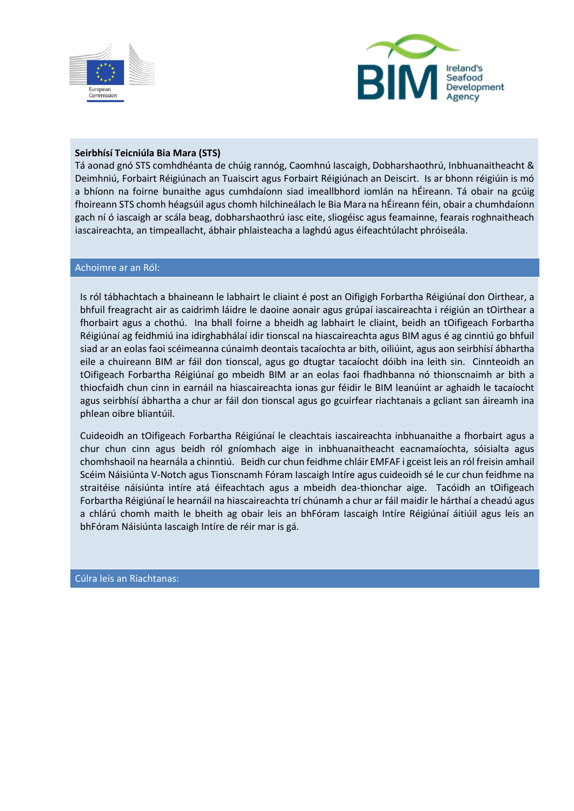



## **Seirbhísí Teicniúla Bia Mara (STS)**

Tá aonad gnó STS comhdhéanta de chúig rannóg, Caomhnú Iascaigh, Dobharshaothrú, Inbhuanaitheacht & Deimhniú, Forbairt Réigiúnach an Tuaiscirt agus Forbairt Réigiúnach an Deiscirt. Is ar bhonn réigiúin is mó a bhíonn na foirne bunaithe agus cumhdaíonn siad imeallbhord iomlán na hÉireann. Tá obair na gcúig fhoireann STS chomh héagsúil agus chomh hilchineálach le Bia Mara na hÉireann féin, obair a chumhdaíonn gach ní ó iascaigh ar scála beag, dobharshaothrú iasc eite, sliogéisc agus feamainne, fearais roghnaitheach iascaireachta, an timpeallacht, ábhair phlaisteacha a laghdú agus éifeachtúlacht phróiseála.

#### Achoimre ar an Ról:

Is ról tábhachtach a bhaineann le labhairt le cliaint é post an Oifigigh Forbartha Réigiúnaí don Oirthear, a bhfuil freagracht air as caidrimh láidre le daoine aonair agus grúpaí iascaireachta i réigiún an tOirthear a fhorbairt agus a chothú. Ina bhall foirne a bheidh ag labhairt le cliaint, beidh an tOifigeach Forbartha Réigiúnaí ag feidhmiú ina idirghabhálaí idir tionscal na hiascaireachta agus BIM agus é ag cinntiú go bhfuil siad ar an eolas faoi scéimeanna cúnaimh deontais tacaíochta ar bith, oiliúint, agus aon seirbhísí ábhartha eile a chuireann BIM ar fáil don tionscal, agus go dtugtar tacaíocht dóibh ina leith sin. Cinnteoidh an tOifigeach Forbartha Réigiúnaí go mbeidh BIM ar an eolas faoi fhadhbanna nó thionscnaimh ar bith a thiocfaidh chun cinn in earnáil na hiascaireachta ionas gur féidir le BIM leanúint ar aghaidh le tacaíocht agus seirbhísí ábhartha a chur ar fáil don tionscal agus go gcuirfear riachtanais a gcliant san áireamh ina phlean oibre bliantúil.

Cuideoidh an tOifigeach Forbartha Réigiúnaí le cleachtais iascaireachta inbhuanaithe a fhorbairt agus a chur chun cinn agus beidh ról gníomhach aige in inbhuanaitheacht eacnamaíochta, sóisialta agus chomhshaoil na hearnála a chinntiú. Beidh cur chun feidhme chláir EMFAF i gceist leis an ról freisin amhail Scéim Náisiúnta V-Notch agus Tionscnamh Fóram Iascaigh Intíre agus cuideoidh sé le cur chun feidhme na straitéise náisiúnta intíre atá éifeachtach agus a mbeidh dea-thionchar aige. Tacóidh an tOifigeach Forbartha Réigiúnaí le hearnáil na hiascaireachta trí chúnamh a chur ar fáil maidir le hárthaí a cheadú agus a chlárú chomh maith le bheith ag obair leis an bhFóram Iascaigh Intíre Réigiúnaí áitiúil agus leis an bhFóram Náisiúnta Iascaigh Intíre de réir mar is gá.

Cúlra leis an Riachtanas: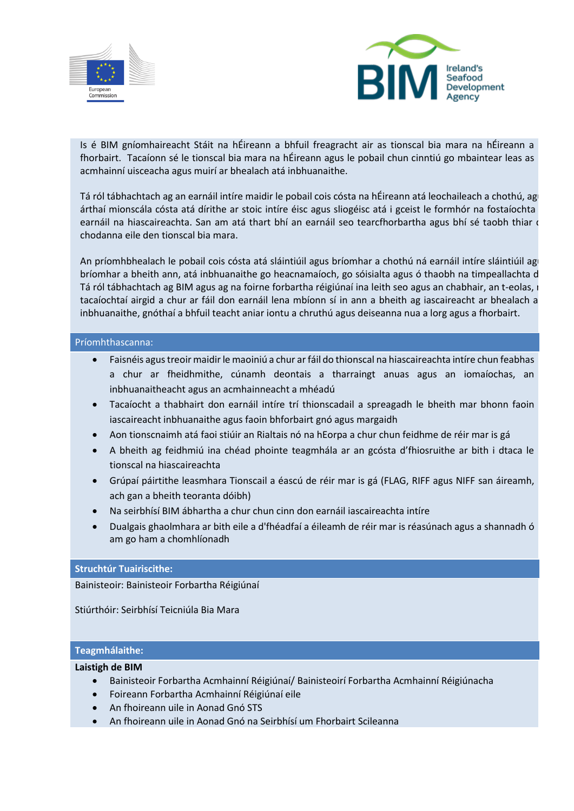



Is é BIM gníomhaireacht Stáit na hÉireann a bhfuil freagracht air as tionscal bia mara na hÉireann a fhorbairt. Tacaíonn sé le tionscal bia mara na hÉireann agus le pobail chun cinntiú go mbaintear leas as acmhainní uisceacha agus muirí ar bhealach atá inbhuanaithe.

Tá ról tábhachtach ag an earnáil intíre maidir le pobail cois cósta na hÉireann atá leochaileach a chothú, agu árthaí mionscála cósta atá dírithe ar stoic intíre éisc agus sliogéisc atá i gceist le formhór na fostaíochta earnáil na hiascaireachta. San am atá thart bhí an earnáil seo tearcfhorbartha agus bhí sé taobh thiar d chodanna eile den tionscal bia mara.

An príomhbhealach le pobail cois cósta atá sláintiúil agus bríomhar a chothú ná earnáil intíre sláintiúil ag bríomhar a bheith ann, atá inbhuanaithe go heacnamaíoch, go sóisialta agus ó thaobh na timpeallachta d Tá ról tábhachtach ag BIM agus ag na foirne forbartha réigiúnaí ina leith seo agus an chabhair, an t-eolas, i tacaíochtaí airgid a chur ar fáil don earnáil lena mbíonn sí in ann a bheith ag iascaireacht ar bhealach a inbhuanaithe, gnóthaí a bhfuil teacht aniar iontu a chruthú agus deiseanna nua a lorg agus a fhorbairt.

#### Príomhthascanna:

- Faisnéis agus treoir maidir le maoiniú a chur ar fáil do thionscal na hiascaireachta intíre chun feabhas a chur ar fheidhmithe, cúnamh deontais a tharraingt anuas agus an iomaíochas, an inbhuanaitheacht agus an acmhainneacht a mhéadú
- Tacaíocht a thabhairt don earnáil intíre trí thionscadail a spreagadh le bheith mar bhonn faoin iascaireacht inbhuanaithe agus faoin bhforbairt gnó agus margaidh
- Aon tionscnaimh atá faoi stiúir an Rialtais nó na hEorpa a chur chun feidhme de réir mar is gá
- A bheith ag feidhmiú ina chéad phointe teagmhála ar an gcósta d'fhiosruithe ar bith i dtaca le tionscal na hiascaireachta
- Grúpaí páirtithe leasmhara Tionscail a éascú de réir mar is gá (FLAG, RIFF agus NIFF san áireamh, ach gan a bheith teoranta dóibh)
- Na seirbhísí BIM ábhartha a chur chun cinn don earnáil iascaireachta intíre
- Dualgais ghaolmhara ar bith eile a d'fhéadfaí a éileamh de réir mar is réasúnach agus a shannadh ó am go ham a chomhlíonadh

#### **Struchtúr Tuairiscithe:**

Bainisteoir: Bainisteoir Forbartha Réigiúnaí

Stiúrthóir: Seirbhísí Teicniúla Bia Mara

# **Teagmhálaithe:**

#### **Laistigh de BIM**

- Bainisteoir Forbartha Acmhainní Réigiúnaí/ Bainisteoirí Forbartha Acmhainní Réigiúnacha
- Foireann Forbartha Acmhainní Réigiúnaí eile
- An fhoireann uile in Aonad Gnó STS
- An fhoireann uile in Aonad Gnó na Seirbhísí um Fhorbairt Scileanna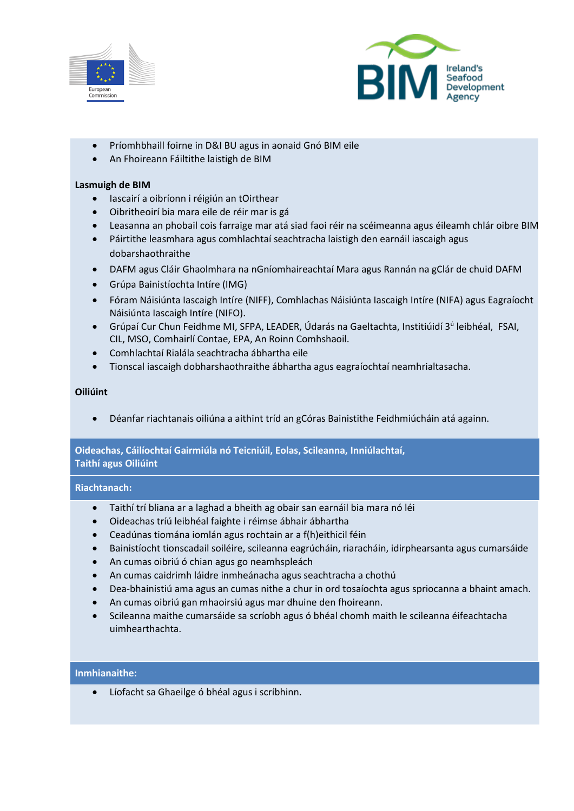



- Príomhbhaill foirne in D&I BU agus in aonaid Gnó BIM eile
- An Fhoireann Fáiltithe laistigh de BIM

## **Lasmuigh de BIM**

- Iascairí a oibríonn i réigiún an tOirthear
- Oibritheoirí bia mara eile de réir mar is gá
- Leasanna an phobail cois farraige mar atá siad faoi réir na scéimeanna agus éileamh chlár oibre BIM.
- Páirtithe leasmhara agus comhlachtaí seachtracha laistigh den earnáil iascaigh agus dobarshaothraithe
- DAFM agus Cláir Ghaolmhara na nGníomhaireachtaí Mara agus Rannán na gClár de chuid DAFM
- Grúpa Bainistíochta Intíre (IMG)
- Fóram Náisiúnta Iascaigh Intíre (NIFF), Comhlachas Náisiúnta Iascaigh Intíre (NIFA) agus Eagraíocht Náisiúnta Iascaigh Intíre (NIFO).
- Grúpaí Cur Chun Feidhme MI, SFPA, LEADER, Údarás na Gaeltachta, Institiúidí 3<sup>ú</sup> leibhéal, FSAI, CIL, MSO, Comhairlí Contae, EPA, An Roinn Comhshaoil.
- Comhlachtaí Rialála seachtracha ábhartha eile
- Tionscal iascaigh dobharshaothraithe ábhartha agus eagraíochtaí neamhrialtasacha.

## **Oiliúint**

• Déanfar riachtanais oiliúna a aithint tríd an gCóras Bainistithe Feidhmiúcháin atá againn.

# **Oideachas, Cáilíochtaí Gairmiúla nó Teicniúil, Eolas, Scileanna, Inniúlachtaí,**

**Taithí agus Oiliúint**

## **Riachtanach:**

- Taithí trí bliana ar a laghad a bheith ag obair san earnáil bia mara nó léi
- Oideachas tríú leibhéal faighte i réimse ábhair ábhartha
- Ceadúnas tiomána iomlán agus rochtain ar a f(h)eithicil féin
- Bainistíocht tionscadail soiléire, scileanna eagrúcháin, riaracháin, idirphearsanta agus cumarsáide
- An cumas oibriú ó chian agus go neamhspleách
- An cumas caidrimh láidre inmheánacha agus seachtracha a chothú
- Dea-bhainistiú ama agus an cumas nithe a chur in ord tosaíochta agus spriocanna a bhaint amach.
- An cumas oibriú gan mhaoirsiú agus mar dhuine den fhoireann.
- Scileanna maithe cumarsáide sa scríobh agus ó bhéal chomh maith le scileanna éifeachtacha uimhearthachta.

## **Inmhianaithe:**

• Líofacht sa Ghaeilge ó bhéal agus i scríbhinn.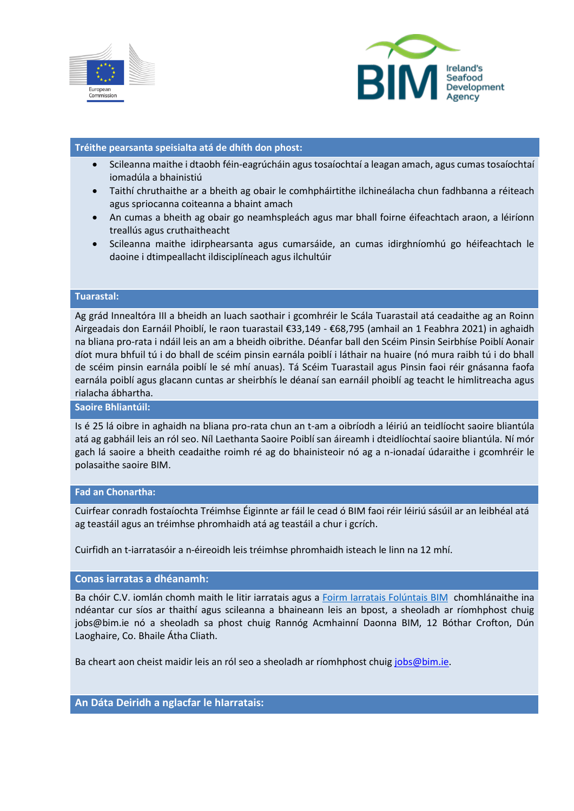



## **Tréithe pearsanta speisialta atá de dhíth don phost:**

- Scileanna maithe i dtaobh féin-eagrúcháin agus tosaíochtaí a leagan amach, agus cumas tosaíochtaí iomadúla a bhainistiú
- Taithí chruthaithe ar a bheith ag obair le comhpháirtithe ilchineálacha chun fadhbanna a réiteach agus spriocanna coiteanna a bhaint amach
- An cumas a bheith ag obair go neamhspleách agus mar bhall foirne éifeachtach araon, a léiríonn treallús agus cruthaitheacht
- Scileanna maithe idirphearsanta agus cumarsáide, an cumas idirghníomhú go héifeachtach le daoine i dtimpeallacht ildisciplíneach agus ilchultúir

#### **Tuarastal:**

Ag grád Innealtóra III a bheidh an luach saothair i gcomhréir le Scála Tuarastail atá ceadaithe ag an Roinn Airgeadais don Earnáil Phoiblí, le raon tuarastail €33,149 - €68,795 (amhail an 1 Feabhra 2021) in aghaidh na bliana pro-rata i ndáil leis an am a bheidh oibrithe. Déanfar ball den Scéim Pinsin Seirbhíse Poiblí Aonair díot mura bhfuil tú i do bhall de scéim pinsin earnála poiblí i láthair na huaire (nó mura raibh tú i do bhall de scéim pinsin earnála poiblí le sé mhí anuas). Tá Scéim Tuarastail agus Pinsin faoi réir gnásanna faofa earnála poiblí agus glacann cuntas ar sheirbhís le déanaí san earnáil phoiblí ag teacht le himlitreacha agus rialacha ábhartha.

#### **Saoire Bhliantúil:**

Is é 25 lá oibre in aghaidh na bliana pro-rata chun an t-am a oibríodh a léiriú an teidlíocht saoire bliantúla atá ag gabháil leis an ról seo. Níl Laethanta Saoire Poiblí san áireamh i dteidlíochtaí saoire bliantúla. Ní mór gach lá saoire a bheith ceadaithe roimh ré ag do bhainisteoir nó ag a n-ionadaí údaraithe i gcomhréir le polasaithe saoire BIM.

#### **Fad an Chonartha:**

Cuirfear conradh fostaíochta Tréimhse Éiginnte ar fáil le cead ó BIM faoi réir léiriú sásúil ar an leibhéal atá ag teastáil agus an tréimhse phromhaidh atá ag teastáil a chur i gcrích.

Cuirfidh an t-iarratasóir a n-éireoidh leis tréimhse phromhaidh isteach le linn na 12 mhí.

#### **Conas iarratas a dhéanamh:**

Ba chóir C.V. iomlán chomh maith le litir iarratais agus a [Foirm Iarratais Folúntais BIM](https://bim.ie/wp-content/uploads/2021/11/FoirmIarrataisFoluntaisBIM.docx) chomhlánaithe ina ndéantar cur síos ar thaithí agus scileanna a bhaineann leis an bpost, a sheoladh ar ríomhphost chuig [jobs@bim.ie](mailto:jobs@bim.ie) nó a sheoladh sa phost chuig Rannóg Acmhainní Daonna BIM, 12 Bóthar Crofton, Dún Laoghaire, Co. Bhaile Átha Cliath.

Ba cheart aon cheist maidir leis an ról seo a sheoladh ar ríomhphost chuig [jobs@bim.ie.](mailto:jobs@bim.ie)

**An Dáta Deiridh a nglacfar le hIarratais:**